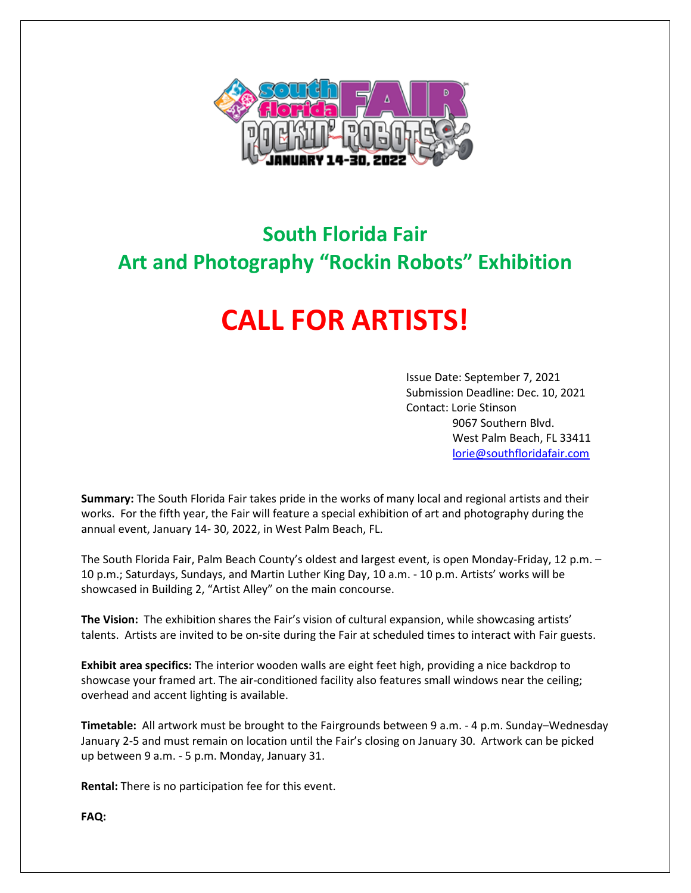

## **South Florida Fair Art and Photography "Rockin Robots" Exhibition**

## **CALL FOR ARTISTS!**

Issue Date: September 7, 2021 Submission Deadline: Dec. 10, 2021 Contact: Lorie Stinson 9067 Southern Blvd. West Palm Beach, FL 33411 [lorie@southfloridafair.com](mailto:lorie@southfloridafair.com)

**Summary:** The South Florida Fair takes pride in the works of many local and regional artists and their works. For the fifth year, the Fair will feature a special exhibition of art and photography during the annual event, January 14- 30, 2022, in West Palm Beach, FL.

The South Florida Fair, Palm Beach County's oldest and largest event, is open Monday-Friday, 12 p.m. – 10 p.m.; Saturdays, Sundays, and Martin Luther King Day, 10 a.m. - 10 p.m. Artists' works will be showcased in Building 2, "Artist Alley" on the main concourse.

**The Vision:** The exhibition shares the Fair's vision of cultural expansion, while showcasing artists' talents. Artists are invited to be on-site during the Fair at scheduled times to interact with Fair guests.

**Exhibit area specifics:** The interior wooden walls are eight feet high, providing a nice backdrop to showcase your framed art. The air-conditioned facility also features small windows near the ceiling; overhead and accent lighting is available.

**Timetable:** All artwork must be brought to the Fairgrounds between 9 a.m. - 4 p.m. Sunday–Wednesday January 2-5 and must remain on location until the Fair's closing on January 30. Artwork can be picked up between 9 a.m. - 5 p.m. Monday, January 31.

**Rental:** There is no participation fee for this event.

**FAQ:**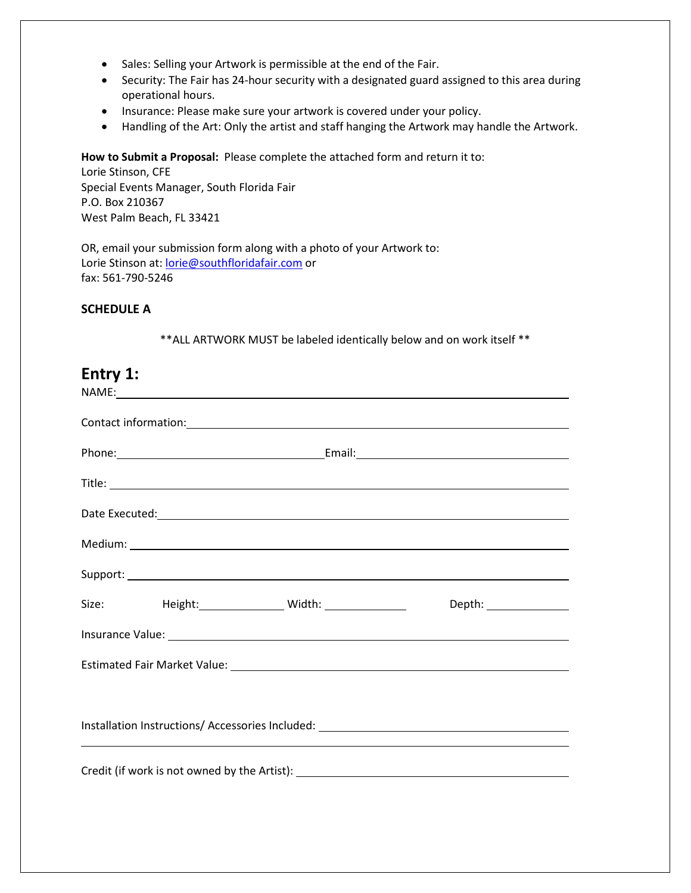- Sales: Selling your Artwork is permissible at the end of the Fair.
- Security: The Fair has 24-hour security with a designated guard assigned to this area during operational hours.
- Insurance: Please make sure your artwork is covered under your policy.
- Handling of the Art: Only the artist and staff hanging the Artwork may handle the Artwork.

**How to Submit a Proposal:** Please complete the attached form and return it to:

Lorie Stinson, CFE Special Events Manager, South Florida Fair P.O. Box 210367 West Palm Beach, FL 33421

OR, email your submission form along with a photo of your Artwork to: Lorie Stinson at[: lorie@southfloridafair.com](mailto:lorie@southfloridafair.com) or fax: 561-790-5246

## **SCHEDULE A**

\*\*ALL ARTWORK MUST be labeled identically below and on work itself \*\*

| Entry 1:                                                                         | NAME: A CONSERVATION CONTINUES AND A CONSERVATION OF THE CONSERVATION OF THE CONSERVATION OF THE CONSERVATION OF THE CONSERVATION OF THE CONSERVATION OF THE CONSERVATION OF THE CONSERVATION OF THE CONSERVATION OF THE CONSE |  |  |  |  |                        |
|----------------------------------------------------------------------------------|--------------------------------------------------------------------------------------------------------------------------------------------------------------------------------------------------------------------------------|--|--|--|--|------------------------|
|                                                                                  |                                                                                                                                                                                                                                |  |  |  |  |                        |
|                                                                                  |                                                                                                                                                                                                                                |  |  |  |  |                        |
|                                                                                  |                                                                                                                                                                                                                                |  |  |  |  |                        |
|                                                                                  |                                                                                                                                                                                                                                |  |  |  |  |                        |
|                                                                                  |                                                                                                                                                                                                                                |  |  |  |  |                        |
|                                                                                  |                                                                                                                                                                                                                                |  |  |  |  |                        |
|                                                                                  |                                                                                                                                                                                                                                |  |  |  |  | Depth: _______________ |
|                                                                                  |                                                                                                                                                                                                                                |  |  |  |  |                        |
|                                                                                  |                                                                                                                                                                                                                                |  |  |  |  |                        |
|                                                                                  |                                                                                                                                                                                                                                |  |  |  |  |                        |
| Installation Instructions/ Accessories Included: _______________________________ |                                                                                                                                                                                                                                |  |  |  |  |                        |
|                                                                                  |                                                                                                                                                                                                                                |  |  |  |  |                        |
|                                                                                  |                                                                                                                                                                                                                                |  |  |  |  |                        |
|                                                                                  |                                                                                                                                                                                                                                |  |  |  |  |                        |
|                                                                                  |                                                                                                                                                                                                                                |  |  |  |  |                        |